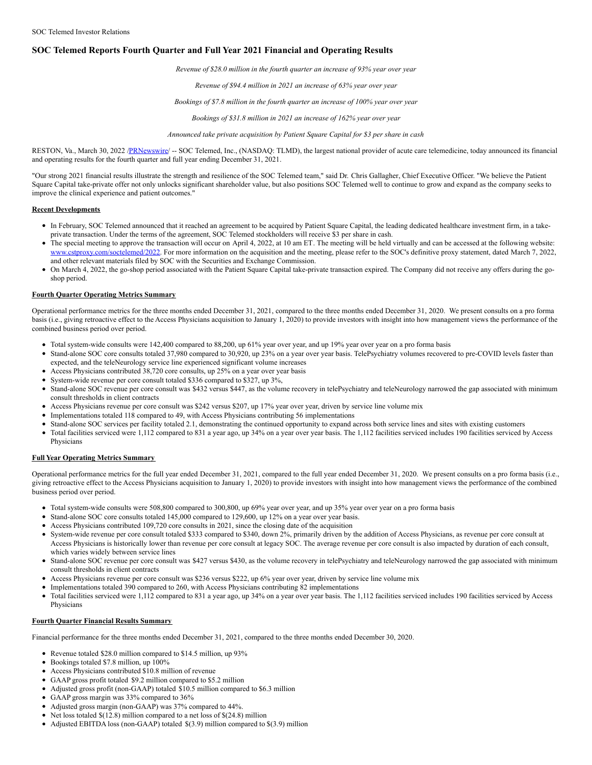## **SOC Telemed Reports Fourth Quarter and Full Year 2021 Financial and Operating Results**

*Revenue of \$28.0 million in the fourth quarter an increase of 93% year over year*

*Revenue of \$94.4 million in 2021 an increase of 63% year over year*

*Bookings of \$7.8 million in the fourth quarter an increase of 100% year over year*

*Bookings of \$31.8 million in 2021 an increase of 162% year over year*

*Announced take private acquisition by Patient Square Capital for \$3 per share in cash*

RESTON, Va., March 30, 2022 [/PRNewswire](http://www.prnewswire.com/)/ -- SOC Telemed, Inc., (NASDAQ: TLMD), the largest national provider of acute care telemedicine, today announced its financial and operating results for the fourth quarter and full year ending December 31, 2021.

"Our strong 2021 financial results illustrate the strength and resilience of the SOC Telemed team," said Dr. Chris Gallagher, Chief Executive Officer. "We believe the Patient Square Capital take-private offer not only unlocks significant shareholder value, but also positions SOC Telemed well to continue to grow and expand as the company seeks to improve the clinical experience and patient outcomes."

#### **Recent Developments**

- In February, SOC Telemed announced that it reached an agreement to be acquired by Patient Square Capital, the leading dedicated healthcare investment firm, in a takeprivate transaction. Under the terms of the agreement, SOC Telemed stockholders will receive \$3 per share in cash.
- The special meeting to approve the transaction will occur on April 4, 2022, at 10 am ET. The meeting will be held virtually and can be accessed at the following website: [www.cstproxy.com/soctelemed/2022.](https://c212.net/c/link/?t=0&l=en&o=3489684-1&h=2117786199&u=http%3A%2F%2Fwww.cstproxy.com%2Fsoctelemed%2F2022&a=www.cstproxy.com%2Fsoctelemed%2F2022) For more information on the acquisition and the meeting, please refer to the SOC's definitive proxy statement, dated March 7, 2022, and other relevant materials filed by SOC with the Securities and Exchange Commission.
- On March 4, 2022, the go-shop period associated with the Patient Square Capital take-private transaction expired. The Company did not receive any offers during the goshop period.

#### **Fourth Quarter Operating Metrics Summary**

Operational performance metrics for the three months ended December 31, 2021, compared to the three months ended December 31, 2020. We present consults on a pro forma basis (i.e., giving retroactive effect to the Access Physicians acquisition to January 1, 2020) to provide investors with insight into how management views the performance of the combined business period over period.

- Total system-wide consults were 142,400 compared to 88,200, up 61% year over year, and up 19% year over year on a pro forma basis
- Stand-alone SOC core consults totaled 37,980 compared to 30,920, up 23% on a year over year basis. TelePsychiatry volumes recovered to pre-COVID levels faster than expected, and the teleNeurology service line experienced significant volume increases
- Access Physicians contributed 38,720 core consults, up 25% on a year over year basis
- System-wide revenue per core consult totaled \$336 compared to \$327, up 3%,
- Stand-alone SOC revenue per core consult was \$432 versus \$447, as the volume recovery in telePsychiatry and teleNeurology narrowed the gap associated with minimum consult thresholds in client contracts
- Access Physicians revenue per core consult was \$242 versus \$207, up 17% year over year, driven by service line volume mix
- Implementations totaled 118 compared to 49, with Access Physicians contributing 56 implementations
- Stand-alone SOC services per facility totaled 2.1, demonstrating the continued opportunity to expand across both service lines and sites with existing customers
- Total facilities serviced were 1,112 compared to 831 a year ago, up 34% on a year over year basis. The 1,112 facilities serviced includes 190 facilities serviced by Access Physicians

## **Full Year Operating Metrics Summary**

Operational performance metrics for the full year ended December 31, 2021, compared to the full year ended December 31, 2020. We present consults on a pro forma basis (i.e., giving retroactive effect to the Access Physicians acquisition to January 1, 2020) to provide investors with insight into how management views the performance of the combined business period over period.

- Total system-wide consults were 508,800 compared to 300,800, up 69% year over year, and up 35% year over year on a pro forma basis
- Stand-alone SOC core consults totaled 145,000 compared to 129,600, up 12% on a year over year basis.
- Access Physicians contributed 109,720 core consults in 2021, since the closing date of the acquisition
- System-wide revenue per core consult totaled \$333 compared to \$340, down 2%, primarily driven by the addition of Access Physicians, as revenue per core consult at Access Physicians is historically lower than revenue per core consult at legacy SOC. The average revenue per core consult is also impacted by duration of each consult, which varies widely between service lines
- Stand-alone SOC revenue per core consult was \$427 versus \$430, as the volume recovery in telePsychiatry and teleNeurology narrowed the gap associated with minimum consult thresholds in client contracts
- Access Physicians revenue per core consult was \$236 versus \$222, up 6% year over year, driven by service line volume mix
- Implementations totaled 390 compared to 260, with Access Physicians contributing 82 implementations
- Total facilities serviced were 1,112 compared to 831 a year ago, up 34% on a year over year basis. The 1,112 facilities serviced includes 190 facilities serviced by Access Physicians

## **Fourth Quarter Financial Results Summary**

Financial performance for the three months ended December 31, 2021, compared to the three months ended December 30, 2020.

- Revenue totaled \$28.0 million compared to \$14.5 million, up 93%
- Bookings totaled \$7.8 million, up 100%
- Access Physicians contributed \$10.8 million of revenue
- GAAP gross profit totaled \$9.2 million compared to \$5.2 million
- Adjusted gross profit (non-GAAP) totaled \$10.5 million compared to \$6.3 million
- GAAP gross margin was 33% compared to 36%
- Adjusted gross margin (non-GAAP) was 37% compared to 44%.
- Net loss totaled  $$(12.8)$  million compared to a net loss of  $$(24.8)$  million
- Adjusted EBITDA loss (non-GAAP) totaled  $$(3.9)$  million compared to  $$(3.9)$  million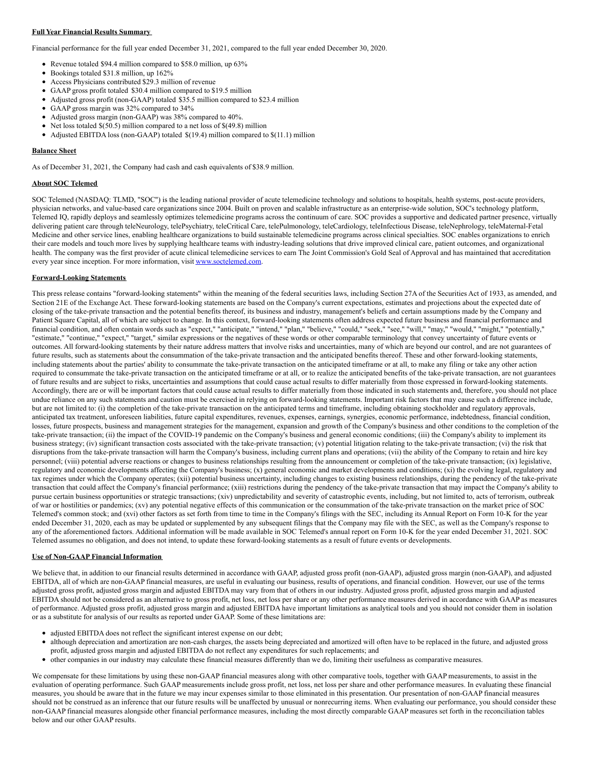## **Full Year Financial Results Summary**

Financial performance for the full year ended December 31, 2021, compared to the full year ended December 30, 2020.

- Revenue totaled \$94.4 million compared to \$58.0 million, up 63%
- Bookings totaled \$31.8 million, up 162%
- Access Physicians contributed \$29.3 million of revenue
- GAAP gross profit totaled \$30.4 million compared to \$19.5 million
- Adjusted gross profit (non-GAAP) totaled \$35.5 million compared to \$23.4 million
- GAAP gross margin was 32% compared to 34%
- Adjusted gross margin (non-GAAP) was 38% compared to 40%.
- Net loss totaled \$(50.5) million compared to a net loss of \$(49.8) million
- Adjusted EBITDA loss (non-GAAP) totaled \$(19.4) million compared to \$(11.1) million

#### **Balance Sheet**

As of December 31, 2021, the Company had cash and cash equivalents of \$38.9 million.

### **About SOC Telemed**

SOC Telemed (NASDAQ: TLMD, "SOC") is the leading national provider of acute telemedicine technology and solutions to hospitals, health systems, post-acute providers, physician networks, and value-based care organizations since 2004. Built on proven and scalable infrastructure as an enterprise-wide solution, SOC's technology platform, Telemed IQ, rapidly deploys and seamlessly optimizes telemedicine programs across the continuum of care. SOC provides a supportive and dedicated partner presence, virtually delivering patient care through teleNeurology, telePsychiatry, teleCritical Care, telePulmonology, teleCardiology, teleInfectious Disease, teleNephrology, teleMaternal-Fetal Medicine and other service lines, enabling healthcare organizations to build sustainable telemedicine programs across clinical specialties. SOC enables organizations to enrich their care models and touch more lives by supplying healthcare teams with industry-leading solutions that drive improved clinical care, patient outcomes, and organizational health. The company was the first provider of acute clinical telemedicine services to earn The Joint Commission's Gold Seal of Approval and has maintained that accreditation every year since inception. For more information, visit [www.soctelemed.com](https://c212.net/c/link/?t=0&l=en&o=3489684-1&h=2926480813&u=http%3A%2F%2Fwww.soctelemed.com%2F&a=www.soctelemed.com).

#### **Forward-Looking Statements**

This press release contains "forward-looking statements" within the meaning of the federal securities laws, including Section 27A of the Securities Act of 1933, as amended, and Section 21E of the Exchange Act. These forward-looking statements are based on the Company's current expectations, estimates and projections about the expected date of closing of the take-private transaction and the potential benefits thereof, its business and industry, management's beliefs and certain assumptions made by the Company and Patient Square Capital, all of which are subject to change. In this context, forward-looking statements often address expected future business and financial performance and financial condition, and often contain words such as "expect," "anticipate," "intend," "plan," "believe," "could," "seek," "see," "will," "may," "would," "might," "potentially," "estimate," "continue," "expect," "target," similar expressions or the negatives of these words or other comparable terminology that convey uncertainty of future events or outcomes. All forward-looking statements by their nature address matters that involve risks and uncertainties, many of which are beyond our control, and are not guarantees of future results, such as statements about the consummation of the take-private transaction and the anticipated benefits thereof. These and other forward-looking statements, including statements about the parties' ability to consummate the take-private transaction on the anticipated timeframe or at all, to make any filing or take any other action required to consummate the take-private transaction on the anticipated timeframe or at all, or to realize the anticipated benefits of the take-private transaction, are not guarantees of future results and are subject to risks, uncertainties and assumptions that could cause actual results to differ materially from those expressed in forward-looking statements. Accordingly, there are or will be important factors that could cause actual results to differ materially from those indicated in such statements and, therefore, you should not place undue reliance on any such statements and caution must be exercised in relying on forward-looking statements. Important risk factors that may cause such a difference include, but are not limited to: (i) the completion of the take-private transaction on the anticipated terms and timeframe, including obtaining stockholder and regulatory approvals, anticipated tax treatment, unforeseen liabilities, future capital expenditures, revenues, expenses, earnings, synergies, economic performance, indebtedness, financial condition, losses, future prospects, business and management strategies for the management, expansion and growth of the Company's business and other conditions to the completion of the take-private transaction; (ii) the impact of the COVID-19 pandemic on the Company's business and general economic conditions; (iii) the Company's ability to implement its business strategy; (iv) significant transaction costs associated with the take-private transaction; (v) potential litigation relating to the take-private transaction; (vi) the risk that disruptions from the take-private transaction will harm the Company's business, including current plans and operations; (vii) the ability of the Company to retain and hire key personnel; (viii) potential adverse reactions or changes to business relationships resulting from the announcement or completion of the take-private transaction; (ix) legislative, regulatory and economic developments affecting the Company's business; (x) general economic and market developments and conditions; (xi) the evolving legal, regulatory and tax regimes under which the Company operates; (xii) potential business uncertainty, including changes to existing business relationships, during the pendency of the take-private transaction that could affect the Company's financial performance; (xiii) restrictions during the pendency of the take-private transaction that may impact the Company's ability to pursue certain business opportunities or strategic transactions; (xiv) unpredictability and severity of catastrophic events, including, but not limited to, acts of terrorism, outbreak of war or hostilities or pandemics; (xv) any potential negative effects of this communication or the consummation of the take-private transaction on the market price of SOC Telemed's common stock; and (xvi) other factors as set forth from time to time in the Company's filings with the SEC, including its Annual Report on Form 10-K for the year ended December 31, 2020, each as may be updated or supplemented by any subsequent filings that the Company may file with the SEC, as well as the Company's response to any of the aforementioned factors. Additional information will be made available in SOC Telemed's annual report on Form 10-K for the year ended December 31, 2021. SOC Telemed assumes no obligation, and does not intend, to update these forward-looking statements as a result of future events or developments.

## **Use of Non-GAAP Financial Information**

We believe that, in addition to our financial results determined in accordance with GAAP, adjusted gross profit (non-GAAP), adjusted gross margin (non-GAAP), and adjusted EBITDA, all of which are non-GAAP financial measures, are useful in evaluating our business, results of operations, and financial condition. However, our use of the terms adjusted gross profit, adjusted gross margin and adjusted EBITDA may vary from that of others in our industry. Adjusted gross profit, adjusted gross margin and adjusted EBITDA should not be considered as an alternative to gross profit, net loss, net loss per share or any other performance measures derived in accordance with GAAP as measures of performance. Adjusted gross profit, adjusted gross margin and adjusted EBITDA have important limitations as analytical tools and you should not consider them in isolation or as a substitute for analysis of our results as reported under GAAP. Some of these limitations are:

- adjusted EBITDA does not reflect the significant interest expense on our debt;
- although depreciation and amortization are non-cash charges, the assets being depreciated and amortized will often have to be replaced in the future, and adjusted gross profit, adjusted gross margin and adjusted EBITDA do not reflect any expenditures for such replacements; and
- other companies in our industry may calculate these financial measures differently than we do, limiting their usefulness as comparative measures.

We compensate for these limitations by using these non-GAAP financial measures along with other comparative tools, together with GAAP measurements, to assist in the evaluation of operating performance. Such GAAP measurements include gross profit, net loss, net loss per share and other performance measures. In evaluating these financial measures, you should be aware that in the future we may incur expenses similar to those eliminated in this presentation. Our presentation of non-GAAP financial measures should not be construed as an inference that our future results will be unaffected by unusual or nonrecurring items. When evaluating our performance, you should consider these non-GAAP financial measures alongside other financial performance measures, including the most directly comparable GAAP measures set forth in the reconciliation tables below and our other GAAP results.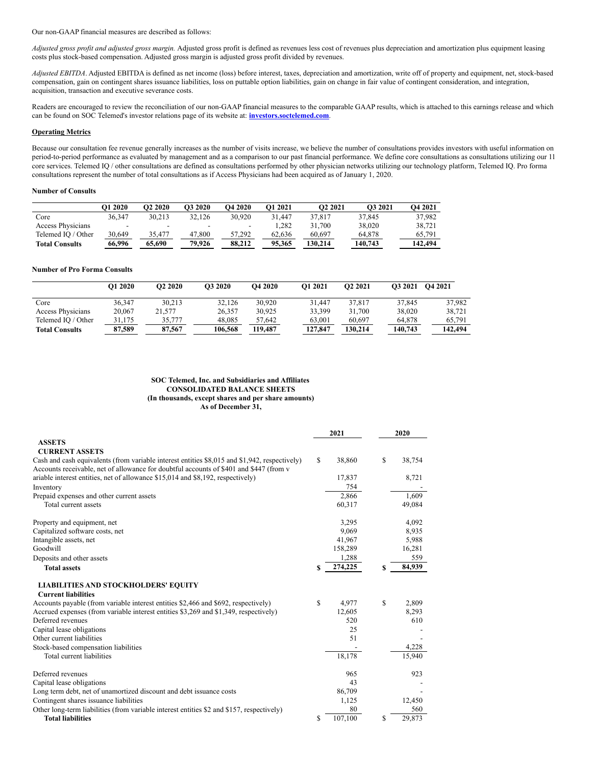Our non-GAAP financial measures are described as follows:

*Adjusted gross profit and adjusted gross margin.* Adjusted gross profit is defined as revenues less cost of revenues plus depreciation and amortization plus equipment leasing costs plus stock-based compensation. Adjusted gross margin is adjusted gross profit divided by revenues.

*Adjusted EBITDA*. Adjusted EBITDA is defined as net income (loss) before interest, taxes, depreciation and amortization, write off of property and equipment, net, stock-based compensation, gain on contingent shares issuance liabilities, loss on puttable option liabilities, gain on change in fair value of contingent consideration, and integration, acquisition, transaction and executive severance costs.

Readers are encouraged to review the reconciliation of our non-GAAP financial measures to the comparable GAAP results, which is attached to this earnings release and which can be found on SOC Telemed's investor relations page of its website at: **[investors.soctelemed.com](https://c212.net/c/link/?t=0&l=en&o=3489684-1&h=12915927&u=https%3A%2F%2Fc212.net%2Fc%2Flink%2F%3Ft%3D0%26l%3Den%26o%3D3163334-1%26h%3D2408681108%26u%3Dhttp%253A%252F%252Finvestors.soctelemed.com%252F%26a%3Dinvestors.soctelemed.com&a=investors.soctelemed.com)**.

## **Operating Metrics**

Because our consultation fee revenue generally increases as the number of visits increase, we believe the number of consultations provides investors with useful information on period-to-period performance as evaluated by management and as a comparison to our past financial performance. We define core consultations as consultations utilizing our 11 core services. Telemed IQ / other consultations are defined as consultations performed by other physician networks utilizing our technology platform, Telemed IQ. Pro forma consultations represent the number of total consultations as if Access Physicians had been acquired as of January 1, 2020.

## **Number of Consults**

|                       | <b>O1 2020</b> | <b>O2 2020</b> | O3 2020 | <b>O4 2020</b> | O1 2021 | O <sub>2</sub> 2021 | O <sub>3</sub> 2021 | <b>O4 2021</b> |
|-----------------------|----------------|----------------|---------|----------------|---------|---------------------|---------------------|----------------|
| Core                  | 36.347         | 30.213         | 32.126  | 30.920         | 31.447  | 37.817              | 37.845              | 37.982         |
| Access Physicians     | -              |                | -       | -              | .282    | 31.700              | 38.020              | 38.721         |
| Telemed IO / Other    | 30.649         | 35.477         | 47,800  | 57.292         | 62.636  | 60.697              | 64.878              | 65.791         |
| <b>Total Consults</b> | 66,996         | 65,690         | 79.926  | 88.212         | 95.365  | 130.214             | 140.743             | 142.494        |

### **Number of Pro Forma Consults**

|                          | O1 2020 | O <sub>2</sub> 2020 | O3 2020 | <b>O4 2020</b> | O1 2021 | O <sub>2</sub> 2021 | <b>O3 2021</b> | O4 2021 |
|--------------------------|---------|---------------------|---------|----------------|---------|---------------------|----------------|---------|
| Core                     | 36.347  | 30.213              | 32,126  | 30.920         | 31.447  | 37,817              | 37.845         | 37.982  |
| <b>Access Physicians</b> | 20,067  | 21,577              | 26.357  | 30.925         | 33.399  | 31.700              | 38,020         | 38.721  |
| Telemed IO / Other       | 31,175  | 35.777              | 48.085  | 57.642         | 63,001  | 60,697              | 64,878         | 65.791  |
| <b>Total Consults</b>    | 87.589  | 87.567              | 106.568 | 119.487        | 127,847 | 130.214             | 140.743        | 142.494 |

#### **SOC Telemed, Inc. and Subsidiaries and Affiliates CONSOLIDATED BALANCE SHEETS (In thousands, except shares and per share amounts) As of December 31,**

|                                                                                                                                                                                         |    | 2021    | 2020 |        |  |
|-----------------------------------------------------------------------------------------------------------------------------------------------------------------------------------------|----|---------|------|--------|--|
| <b>ASSETS</b>                                                                                                                                                                           |    |         |      |        |  |
| <b>CURRENT ASSETS</b>                                                                                                                                                                   |    |         |      |        |  |
| Cash and cash equivalents (from variable interest entities \$8,015 and \$1,942, respectively)<br>Accounts receivable, net of allowance for doubtful accounts of \$401 and \$447 (from v | S  | 38,860  | \$   | 38,754 |  |
| ariable interest entities, net of allowance \$15,014 and \$8,192, respectively)                                                                                                         |    | 17,837  |      | 8,721  |  |
| Inventory                                                                                                                                                                               |    | 754     |      |        |  |
| Prepaid expenses and other current assets                                                                                                                                               |    | 2,866   |      | 1.609  |  |
| Total current assets                                                                                                                                                                    |    | 60,317  |      | 49,084 |  |
| Property and equipment, net                                                                                                                                                             |    | 3,295   |      | 4,092  |  |
| Capitalized software costs, net                                                                                                                                                         |    | 9,069   |      | 8,935  |  |
| Intangible assets, net                                                                                                                                                                  |    | 41,967  |      | 5,988  |  |
| Goodwill                                                                                                                                                                                |    | 158,289 |      | 16,281 |  |
| Deposits and other assets                                                                                                                                                               |    | 1,288   |      | 559    |  |
| <b>Total assets</b>                                                                                                                                                                     | \$ | 274,225 | S    | 84,939 |  |
| <b>LIABILITIES AND STOCKHOLDERS' EQUITY</b>                                                                                                                                             |    |         |      |        |  |
| <b>Current liabilities</b>                                                                                                                                                              |    |         |      |        |  |
| Accounts payable (from variable interest entities \$2,466 and \$692, respectively)                                                                                                      | S  | 4.977   | S    | 2,809  |  |
| Accrued expenses (from variable interest entities \$3,269 and \$1,349, respectively)                                                                                                    |    | 12,605  |      | 8,293  |  |
| Deferred revenues                                                                                                                                                                       |    | 520     |      | 610    |  |
| Capital lease obligations                                                                                                                                                               |    | 25      |      |        |  |
| Other current liabilities                                                                                                                                                               |    | 51      |      |        |  |
| Stock-based compensation liabilities                                                                                                                                                    |    |         |      | 4,228  |  |
| Total current liabilities                                                                                                                                                               |    | 18,178  |      | 15,940 |  |
| Deferred revenues                                                                                                                                                                       |    | 965     |      | 923    |  |
| Capital lease obligations                                                                                                                                                               |    | 43      |      |        |  |
| Long term debt, net of unamortized discount and debt issuance costs                                                                                                                     |    | 86,709  |      |        |  |
| Contingent shares issuance liabilities                                                                                                                                                  |    | 1,125   |      | 12,450 |  |
| Other long-term liabilities (from variable interest entities \$2 and \$157, respectively)                                                                                               |    | 80      |      | 560    |  |
| <b>Total liabilities</b>                                                                                                                                                                | \$ | 107,100 | \$   | 29,873 |  |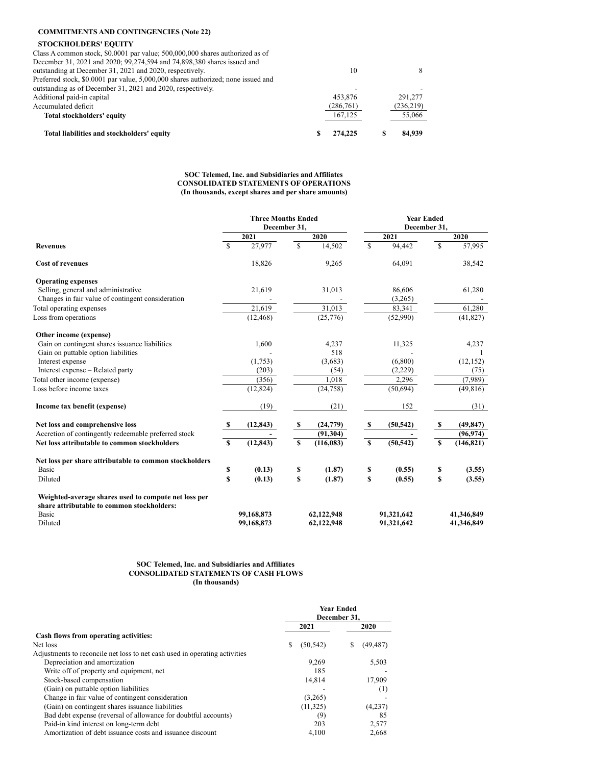# **COMMITMENTS AND CONTINGENCIES (Note 22)**

## **STOCKHOLDERS' EQUITY**

| Total liabilities and stockholders' equity                                        | 274,225   | 84,939    |
|-----------------------------------------------------------------------------------|-----------|-----------|
| Total stockholders' equity                                                        | 167,125   | 55,066    |
| Accumulated deficit                                                               | (286,761) | (236,219) |
| Additional paid-in capital                                                        | 453.876   | 291.277   |
| outstanding as of December 31, 2021 and 2020, respectively.                       |           |           |
| Preferred stock, \$0,0001 par value, 5,000,000 shares authorized; none issued and |           |           |
| outstanding at December 31, 2021 and 2020, respectively.                          | 10        |           |
| December 31, 2021 and 2020; 99, 274, 594 and 74, 898, 380 shares issued and       |           |           |
| Class A common stock, \$0,0001 par value; 500,000,000 shares authorized as of     |           |           |
|                                                                                   |           |           |

## **SOC Telemed, Inc. and Subsidiaries and Affiliates CONSOLIDATED STATEMENTS OF OPERATIONS (In thousands, except shares and per share amounts)**

|                                                        | <b>Three Months Ended</b><br>December 31, |            |              |            |             | <b>Year Ended</b><br>December 31, |              |            |  |  |
|--------------------------------------------------------|-------------------------------------------|------------|--------------|------------|-------------|-----------------------------------|--------------|------------|--|--|
|                                                        |                                           | 2021       |              | 2020       |             | 2021                              |              | 2020       |  |  |
| <b>Revenues</b>                                        | $\mathcal{S}$                             | 27,977     | $\mathbb{S}$ | 14,502     | \$          | 94,442                            | $\mathbb{S}$ | 57,995     |  |  |
| <b>Cost of revenues</b>                                |                                           | 18,826     |              | 9,265      |             | 64,091                            |              | 38,542     |  |  |
| <b>Operating expenses</b>                              |                                           |            |              |            |             |                                   |              |            |  |  |
| Selling, general and administrative                    |                                           | 21,619     |              | 31,013     |             | 86,606                            |              | 61,280     |  |  |
| Changes in fair value of contingent consideration      |                                           |            |              |            |             | (3,265)                           |              |            |  |  |
| Total operating expenses                               |                                           | 21,619     |              | 31,013     |             | 83,341                            |              | 61,280     |  |  |
| Loss from operations                                   |                                           | (12, 468)  |              | (25,776)   |             | (52,990)                          |              | (41, 827)  |  |  |
| Other income (expense)                                 |                                           |            |              |            |             |                                   |              |            |  |  |
| Gain on contingent shares issuance liabilities         |                                           | 1,600      |              | 4,237      |             | 11,325                            |              | 4,237      |  |  |
| Gain on puttable option liabilities                    |                                           |            |              | 518        |             |                                   |              |            |  |  |
| Interest expense                                       |                                           | (1,753)    |              | (3,683)    |             | (6,800)                           |              | (12, 152)  |  |  |
| Interest expense – Related party                       |                                           | (203)      |              | (54)       |             | (2,229)                           |              | (75)       |  |  |
| Total other income (expense)                           |                                           | (356)      |              | 1,018      |             | 2,296                             |              | (7,989)    |  |  |
| Loss before income taxes                               |                                           | (12, 824)  |              | (24, 758)  |             | (50,694)                          |              | (49, 816)  |  |  |
| Income tax benefit (expense)                           |                                           | (19)       |              | (21)       |             | 152                               |              | (31)       |  |  |
| Net loss and comprehensive loss                        | -S                                        | (12, 843)  | S            | (24,779)   | - \$        | (50, 542)                         | S            | (49, 847)  |  |  |
| Accretion of contingently redeemable preferred stock   |                                           |            |              | (91, 304)  |             |                                   |              | (96, 974)  |  |  |
| Net loss attributable to common stockholders           | $\mathbf S$                               | (12, 843)  | $\mathbf S$  | (116, 083) | $\mathbf S$ | (50, 542)                         | $\mathbf S$  | (146, 821) |  |  |
| Net loss per share attributable to common stockholders |                                           |            |              |            |             |                                   |              |            |  |  |
| Basic                                                  | \$                                        | (0.13)     | \$           | (1.87)     | \$          | (0.55)                            | \$           | (3.55)     |  |  |
| Diluted                                                | \$                                        | (0.13)     | \$           | (1.87)     | \$          | (0.55)                            | \$           | (3.55)     |  |  |
| Weighted-average shares used to compute net loss per   |                                           |            |              |            |             |                                   |              |            |  |  |
| share attributable to common stockholders:             |                                           |            |              |            |             |                                   |              |            |  |  |
| Basic                                                  |                                           | 99,168,873 |              | 62,122,948 |             | 91,321,642                        |              | 41,346,849 |  |  |
| Diluted                                                |                                           | 99,168,873 |              | 62,122,948 |             | 91,321,642                        |              | 41,346,849 |  |  |

#### **SOC Telemed, Inc. and Subsidiaries and Affiliates CONSOLIDATED STATEMENTS OF CASH FLOWS (In thousands)**

|                                                                            | <b>Year Ended</b><br>December 31. |           |   |           |  |  |
|----------------------------------------------------------------------------|-----------------------------------|-----------|---|-----------|--|--|
|                                                                            |                                   | 2021      |   | 2020      |  |  |
| Cash flows from operating activities:                                      |                                   |           |   |           |  |  |
| Net loss                                                                   | S                                 | (50, 542) | S | (49, 487) |  |  |
| Adjustments to reconcile net loss to net cash used in operating activities |                                   |           |   |           |  |  |
| Depreciation and amortization                                              |                                   | 9,269     |   | 5,503     |  |  |
| Write off of property and equipment, net                                   |                                   | 185       |   |           |  |  |
| Stock-based compensation                                                   |                                   | 14,814    |   | 17,909    |  |  |
| (Gain) on puttable option liabilities                                      |                                   |           |   | (1)       |  |  |
| Change in fair value of contingent consideration                           |                                   | (3,265)   |   |           |  |  |
| (Gain) on contingent shares issuance liabilities                           |                                   | (11, 325) |   | (4,237)   |  |  |
| Bad debt expense (reversal of allowance for doubtful accounts)             |                                   | (9)       |   | 85        |  |  |
| Paid-in kind interest on long-term debt                                    |                                   | 203       |   | 2,577     |  |  |
| Amortization of debt issuance costs and issuance discount                  |                                   | 4.100     |   | 2.668     |  |  |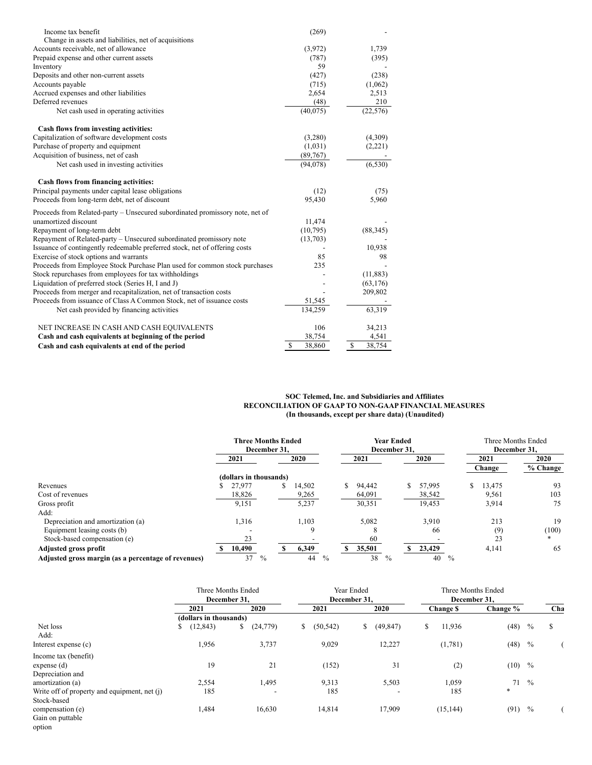| Income tax benefit                                                           | (269)              |                        |
|------------------------------------------------------------------------------|--------------------|------------------------|
| Change in assets and liabilities, net of acquisitions                        |                    |                        |
| Accounts receivable, net of allowance                                        | (3,972)            | 1,739                  |
| Prepaid expense and other current assets                                     | (787)              | (395)                  |
| Inventory                                                                    | 59                 |                        |
| Deposits and other non-current assets                                        | (427)              | (238)                  |
| Accounts payable                                                             | (715)              | (1,062)                |
| Accrued expenses and other liabilities                                       | 2,654              | 2,513                  |
| Deferred revenues                                                            | (48)               | 210                    |
| Net cash used in operating activities                                        | (40,075)           | (22, 576)              |
| Cash flows from investing activities:                                        |                    |                        |
| Capitalization of software development costs                                 | (3,280)            | (4,309)                |
| Purchase of property and equipment                                           | (1,031)            | (2,221)                |
| Acquisition of business, net of cash                                         | (89,767)           |                        |
| Net cash used in investing activities                                        | (94,078)           | (6, 530)               |
| Cash flows from financing activities:                                        |                    |                        |
| Principal payments under capital lease obligations                           | (12)               | (75)                   |
| Proceeds from long-term debt, net of discount                                | 95,430             | 5,960                  |
| Proceeds from Related-party – Unsecured subordinated promissory note, net of |                    |                        |
| unamortized discount                                                         | 11,474             |                        |
| Repayment of long-term debt                                                  | (10,795)           | (88, 345)              |
| Repayment of Related-party - Unsecured subordinated promissory note          | (13,703)           |                        |
| Issuance of contingently redeemable preferred stock, net of offering costs   |                    | 10,938                 |
| Exercise of stock options and warrants                                       | 85                 | 98                     |
| Proceeds from Employee Stock Purchase Plan used for common stock purchases   | 235                |                        |
| Stock repurchases from employees for tax withholdings                        |                    | (11, 883)              |
| Liquidation of preferred stock (Series H, I and J)                           |                    | (63, 176)              |
| Proceeds from merger and recapitalization, net of transaction costs          |                    | 209,802                |
| Proceeds from issuance of Class A Common Stock, net of issuance costs        | 51,545             |                        |
| Net cash provided by financing activities                                    | 134,259            | 63,319                 |
| NET INCREASE IN CASH AND CASH EQUIVALENTS                                    | 106                | 34,213                 |
| Cash and cash equivalents at beginning of the period                         | 38,754             | 4,541                  |
| Cash and cash equivalents at end of the period                               | <b>S</b><br>38,860 | $\mathbb{S}$<br>38,754 |

#### **SOC Telemed, Inc. and Subsidiaries and Affiliates RECONCILIATION OF GAAP TO NON-GAAP FINANCIAL MEASURES (In thousands, except per share data) (Unaudited)**

|                                                     | <b>Three Months Ended</b><br>December 31. |              | <b>Year Ended</b><br>December 31. |            | Three Months Ended<br>December 31. |          |  |
|-----------------------------------------------------|-------------------------------------------|--------------|-----------------------------------|------------|------------------------------------|----------|--|
|                                                     | 2021                                      | 2020         | 2021                              | 2020       | 2021                               | 2020     |  |
|                                                     |                                           |              |                                   |            | Change                             | % Change |  |
|                                                     | (dollars in thousands)                    |              |                                   |            |                                    |          |  |
| Revenues                                            | 27,977                                    | S.<br>14,502 | S.<br>94,442                      | 57,995     | 13,475<br>S                        | 93       |  |
| Cost of revenues                                    | 18,826                                    | 9,265        | 64,091                            | 38,542     | 9,561                              | 103      |  |
| Gross profit                                        | 9,151                                     | 5,237        | 30,351                            | 19,453     | 3,914                              | 75       |  |
| Add:                                                |                                           |              |                                   |            |                                    |          |  |
| Depreciation and amortization (a)                   | 1,316                                     | 1.103        | 5,082                             | 3,910      | 213                                | 19       |  |
| Equipment leasing costs (b)                         |                                           | 9            |                                   | 66         | (9)                                | (100)    |  |
| Stock-based compensation (e)                        | 23                                        |              | 60                                |            | 23                                 |          |  |
| Adjusted gross profit                               | 10,490                                    | 6,349        | 35,501                            | 23,429     | 4,141                              | 65       |  |
| Adjusted gross margin (as a percentage of revenues) | 37<br>$\%$                                | $\%$<br>44   | 38<br>$\%$                        | 40<br>$\%$ |                                    |          |  |

| 2021            | 2020                     | 2021                                                         | 2020            | Change \$                  | Change %              | Cha                                |
|-----------------|--------------------------|--------------------------------------------------------------|-----------------|----------------------------|-----------------------|------------------------------------|
|                 |                          |                                                              |                 |                            |                       |                                    |
| (12, 843)<br>S. | (24,779)<br>\$           | (50, 542)<br>S.                                              | (49, 847)<br>S. | 11,936<br>S.               | (48)<br>$\%$          | \$                                 |
|                 |                          |                                                              |                 |                            |                       |                                    |
| 1,956           | 3,737                    | 9,029                                                        | 12,227          | (1,781)                    | (48)<br>$\frac{0}{0}$ |                                    |
|                 |                          |                                                              |                 |                            |                       |                                    |
| 19              | 21                       | (152)                                                        | 31              | (2)                        | (10)<br>$\frac{0}{0}$ |                                    |
|                 |                          |                                                              |                 |                            |                       |                                    |
| 2,554           | 1,495                    | 9,313                                                        | 5,503           | 1,059                      | 71<br>$\frac{0}{0}$   |                                    |
| 185             | $\overline{\phantom{a}}$ | 185                                                          |                 | 185                        | $*$                   |                                    |
|                 |                          |                                                              |                 |                            |                       |                                    |
| 1,484           | 16,630                   | 14,814                                                       | 17,909          | (15, 144)                  | $\frac{0}{0}$<br>(91) |                                    |
|                 |                          |                                                              |                 |                            |                       |                                    |
|                 |                          |                                                              |                 |                            |                       |                                    |
|                 |                          | Three Months Ended<br>December 31.<br>(dollars in thousands) |                 | Year Ended<br>December 31. |                       | Three Months Ended<br>December 31. |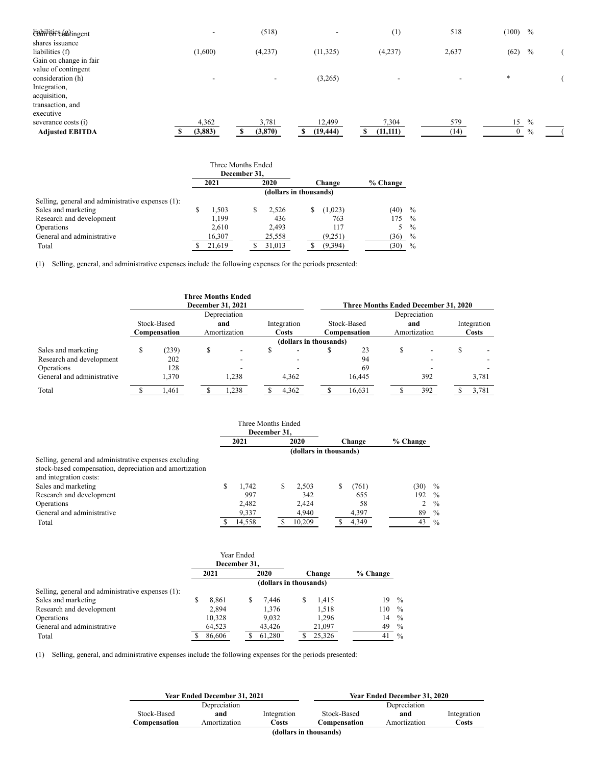| tiabilities (shingent  | $\overline{\phantom{0}}$ | (518)    | $\overline{\phantom{0}}$ | (1)                      | 518                      | (100)<br>$\frac{0}{0}$        |  |
|------------------------|--------------------------|----------|--------------------------|--------------------------|--------------------------|-------------------------------|--|
| shares issuance        |                          |          |                          |                          |                          |                               |  |
| liabilities (f)        | (1,600)                  | (4,237)  | (11, 325)                | (4,237)                  | 2,637                    | (62)<br>$\%$                  |  |
| Gain on change in fair |                          |          |                          |                          |                          |                               |  |
| value of contingent    |                          |          |                          |                          |                          |                               |  |
| consideration (h)      | $\overline{\phantom{a}}$ | -        | (3,265)                  | $\overline{\phantom{a}}$ | $\overline{\phantom{a}}$ | $\ast$                        |  |
| Integration,           |                          |          |                          |                          |                          |                               |  |
| acquisition,           |                          |          |                          |                          |                          |                               |  |
| transaction, and       |                          |          |                          |                          |                          |                               |  |
| executive              |                          |          |                          |                          |                          |                               |  |
| severance costs (i)    | 4,362                    | 3,781    | 12,499                   | 7,304                    | 579                      | 15<br>$\frac{0}{0}$           |  |
| <b>Adjusted EBITDA</b> | (3, 883)                 | (3, 870) | (19, 444)                | (11, 111)                | (14)                     | $\mathbf{0}$<br>$\frac{0}{0}$ |  |

|                                                   | Three Months Ended<br>December 31, |        |   |        |  |         |          |               |
|---------------------------------------------------|------------------------------------|--------|---|--------|--|---------|----------|---------------|
|                                                   | 2021                               |        |   | 2020   |  | Change  | % Change |               |
|                                                   | (dollars in thousands)             |        |   |        |  |         |          |               |
| Selling, general and administrative expenses (1): |                                    |        |   |        |  |         |          |               |
| Sales and marketing                               |                                    | 1.503  | S | 2.526  |  | (1,023) | (40)     | $\%$          |
| Research and development                          |                                    | 1.199  |   | 436    |  | 763     | 175      | $\%$          |
| Operations                                        |                                    | 2,610  |   | 2.493  |  | 117     | 5.       | $\%$          |
| General and administrative                        |                                    | 16,307 |   | 25,558 |  | (9,251) | (36)     | $\frac{0}{0}$ |
| Total                                             |                                    | 21.619 |   | 31.013 |  | (9,394) | (30)     | $\%$          |

(1) Selling, general, and administrative expenses include the following expenses for the periods presented:

|                            |             |              | December 31, 2021            | <b>Three Months Ended</b> |  |                        |  | Three Months Ended December 31, 2020 |     |              |             |       |  |  |
|----------------------------|-------------|--------------|------------------------------|---------------------------|--|------------------------|--|--------------------------------------|-----|--------------|-------------|-------|--|--|
|                            |             | Depreciation |                              |                           |  |                        |  | Depreciation                         |     |              |             |       |  |  |
|                            | Stock-Based |              | and                          |                           |  | Integration            |  | Stock-Based                          | and |              | Integration |       |  |  |
|                            |             | Compensation | <b>Costs</b><br>Amortization |                           |  | Compensation           |  | Amortization                         |     | <b>Costs</b> |             |       |  |  |
|                            |             |              |                              |                           |  | (dollars in thousands) |  |                                      |     |              |             |       |  |  |
| Sales and marketing        |             | (239)        |                              | $\overline{\phantom{0}}$  |  |                        |  | 23                                   |     | ۰            |             |       |  |  |
| Research and development   |             | 202          |                              |                           |  |                        |  | 94                                   |     |              |             |       |  |  |
| Operations                 |             | 128          |                              |                           |  |                        |  | 69                                   |     |              |             |       |  |  |
| General and administrative |             | 1.370        |                              | 1.238                     |  | 4.362                  |  | 16.445                               |     | 392          |             | 3,781 |  |  |
| Total                      |             | .461         |                              | 1,238                     |  | 4.362                  |  | 16,631                               |     | 392          |             | 3,781 |  |  |

|                                                         |              | Three Months Ended |   |        |   |        |          |               |
|---------------------------------------------------------|--------------|--------------------|---|--------|---|--------|----------|---------------|
|                                                         | December 31. |                    |   |        |   |        |          |               |
|                                                         |              | 2021               |   | 2020   |   | Change | % Change |               |
|                                                         |              |                    |   |        |   |        |          |               |
| Selling, general and administrative expenses excluding  |              |                    |   |        |   |        |          |               |
| stock-based compensation, depreciation and amortization |              |                    |   |        |   |        |          |               |
| and integration costs:                                  |              |                    |   |        |   |        |          |               |
| Sales and marketing                                     | S            | 1.742              | S | 2.503  | S | (761)  | (30)     | $\frac{0}{0}$ |
| Research and development                                |              | 997                |   | 342    |   | 655    | 192      | $\frac{0}{0}$ |
| Operations                                              |              | 2.482              |   | 2.424  |   | 58     | 2        | $\frac{0}{0}$ |
| General and administrative                              |              | 9,337              |   | 4,940  |   | 4,397  | 89       | $\frac{0}{0}$ |
| Total                                                   |              | 14,558             |   | 10,209 |   | 4,349  | 43       | $\frac{0}{0}$ |

|                                                   | Year Ended<br>December 31. |        |      |                        |        |        |          |               |
|---------------------------------------------------|----------------------------|--------|------|------------------------|--------|--------|----------|---------------|
|                                                   | 2021                       |        | 2020 |                        | Change |        | % Change |               |
|                                                   |                            |        |      | (dollars in thousands) |        |        |          |               |
| Selling, general and administrative expenses (1): |                            |        |      |                        |        |        |          |               |
| Sales and marketing                               | S                          | 8,861  |      | 7.446                  |        | 1.415  | 19       | $\frac{0}{0}$ |
| Research and development                          |                            | 2,894  |      | 1,376                  |        | 1,518  | 110      | $\frac{0}{0}$ |
| Operations                                        |                            | 10,328 |      | 9,032                  |        | 1,296  | 14       | $\%$          |
| General and administrative                        |                            | 64,523 |      | 43,426                 |        | 21,097 | 49       | $\%$          |
| Total                                             |                            | 86,606 |      | 61,280                 |        | 25,326 | 41       | $\frac{0}{0}$ |

(1) Selling, general, and administrative expenses include the following expenses for the periods presented:

|                        | Year Ended December 31, 2021 |             | <b>Year Ended December 31, 2020</b> |              |             |  |  |  |  |
|------------------------|------------------------------|-------------|-------------------------------------|--------------|-------------|--|--|--|--|
|                        | Depreciation                 |             |                                     | Depreciation |             |  |  |  |  |
| Stock-Based            | and                          | Integration | Stock-Based                         | and          | Integration |  |  |  |  |
| Compensation           | Amortization                 | Costs       | Compensation                        | Amortization | Costs       |  |  |  |  |
| (dollars in thousands) |                              |             |                                     |              |             |  |  |  |  |